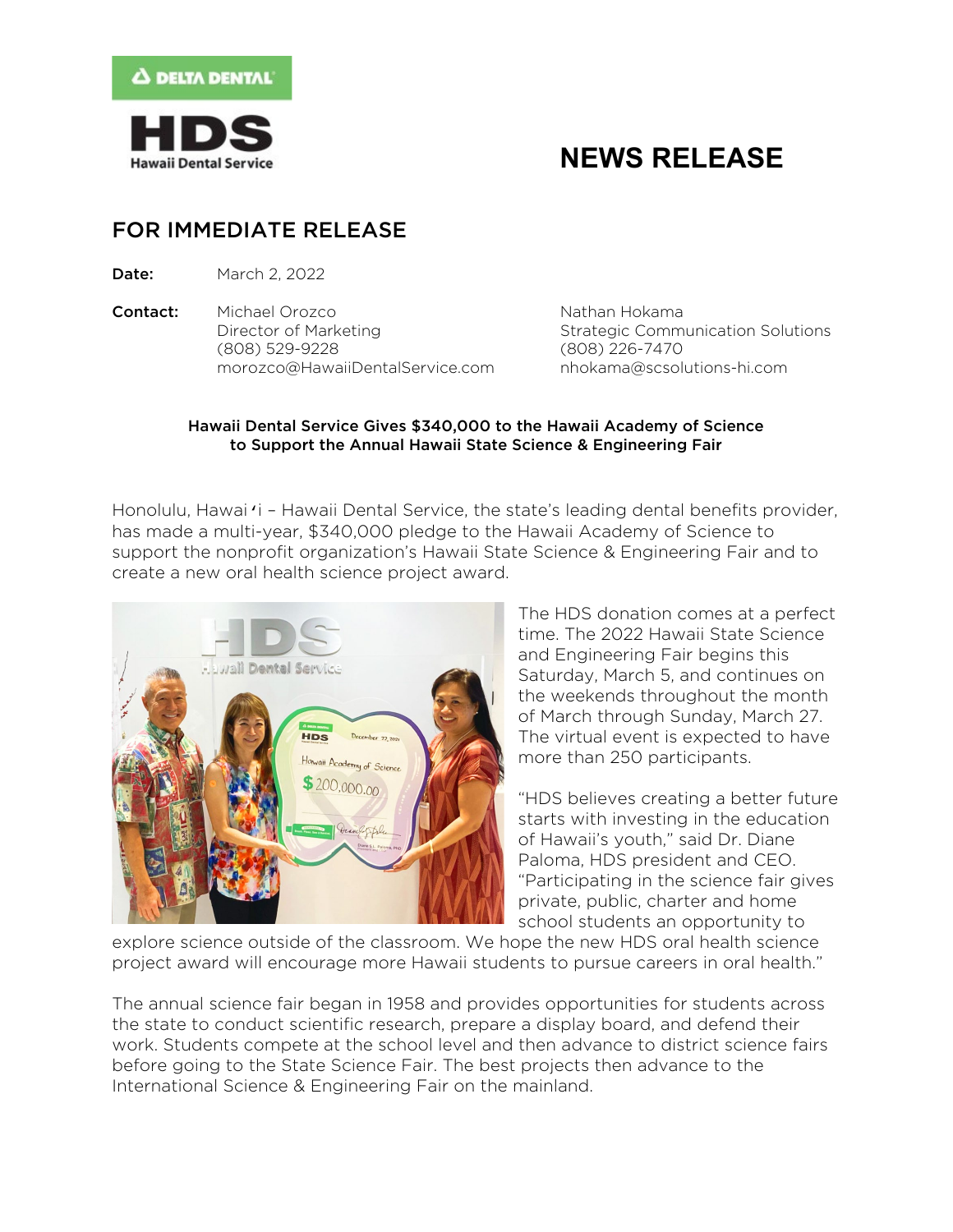

# **NEWS RELEASE**

# FOR IMMEDIATE RELEASE

**Date:** March 2, 2022

**Contact:** Michael Orozco Nathan Hokama Director of Marketing Theorem Strategic Communication Solutions (808) 529-9228 (808) 226-7470 [morozco@HawaiiDentalService.com](mailto:morozco@HawaiiDentalService.com) [nhokama@scsolutions-hi.com](mailto:nhokama@scsolutions-hi.com)

## Hawaii Dental Service Gives \$340,000 to the Hawaii Academy of Science to Support the Annual Hawaii State Science & Engineering Fair

Honolulu, Hawaiʻi – Hawaii Dental Service, the state's leading dental benefits provider, has made a multi-year, \$340,000 pledge to the Hawaii Academy of Science to support the nonprofit organization's Hawaii State Science & Engineering Fair and to create a new oral health science project award.



The HDS donation comes at a perfect time. The 2022 Hawaii State Science and Engineering Fair begins this Saturday, March 5, and continues on the weekends throughout the month of March through Sunday, March 27. The virtual event is expected to have more than 250 participants.

"HDS believes creating a better future starts with investing in the education of Hawaii's youth," said Dr. Diane Paloma, HDS president and CEO. "Participating in the science fair gives private, public, charter and home school students an opportunity to

explore science outside of the classroom. We hope the new HDS oral health science project award will encourage more Hawaii students to pursue careers in oral health."

The annual science fair began in 1958 and provides opportunities for students across the state to conduct scientific research, prepare a display board, and defend their work. Students compete at the school level and then advance to district science fairs before going to the State Science Fair. The best projects then advance to the International Science & Engineering Fair on the mainland.